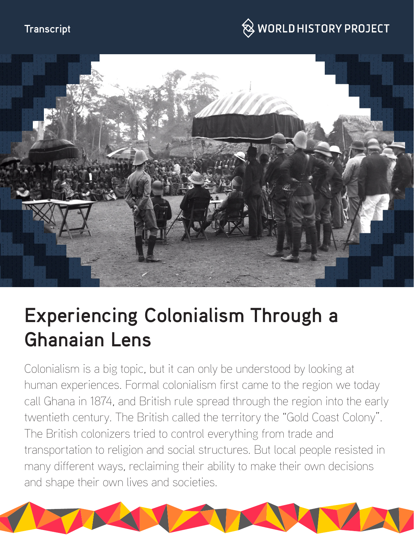#### **Transcript**

## $\hspace{0.1cm}\otimes\hspace{0.1cm}$  WORLD HISTORY PROJECT



# **Experiencing Colonialism Through a Ghanaian Lens**

Colonialism is a big topic, but it can only be understood by looking at human experiences. Formal colonialism first came to the region we today call Ghana in 1874, and British rule spread through the region into the early twentieth century. The British called the territory the "Gold Coast Colony". The British colonizers tried to control everything from trade and transportation to religion and social structures. But local people resisted in many different ways, reclaiming their ability to make their own decisions and shape their own lives and societies.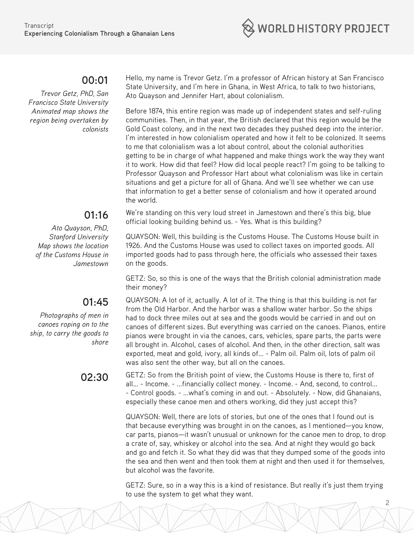

#### **00:01**

*Trevor Getz, PhD, San Francisco State University Animated map shows the region being overtaken by colonists*

### **01:16**

*Ato Quayson, PhD, Stanford University Map shows the location of the Customs House in Jamestown*

### **01:45**

*Photographs of men in canoes roping on to the ship, to carry the goods to shore*

Hello, my name is Trevor Getz. I'm a professor of African history at San Francisco State University, and I'm here in Ghana, in West Africa, to talk to two historians, Ato Quayson and Jennifer Hart, about colonialism.

Before 1874, this entire region was made up of independent states and self-ruling communities. Then, in that year, the British declared that this region would be the Gold Coast colony, and in the next two decades they pushed deep into the interior. I'm interested in how colonialism operated and how it felt to be colonized. It seems to me that colonialism was a lot about control, about the colonial authorities getting to be in charge of what happened and make things work the way they want it to work. How did that feel? How did local people react? I'm going to be talking to Professor Quayson and Professor Hart about what colonialism was like in certain situations and get a picture for all of Ghana. And we'll see whether we can use that information to get a better sense of colonialism and how it operated around the world.

We're standing on this very loud street in Jamestown and there's this big, blue official looking building behind us. - Yes. What is this building?

QUAYSON: Well, this building is the Customs House. The Customs House built in 1926. And the Customs House was used to collect taxes on imported goods. All imported goods had to pass through here, the officials who assessed their taxes on the goods.

GETZ: So, so this is one of the ways that the British colonial administration made their money?

QUAYSON: A lot of it, actually. A lot of it. The thing is that this building is not far from the Old Harbor. And the harbor was a shallow water harbor. So the ships had to dock three miles out at sea and the goods would be carried in and out on canoes of different sizes. But everything was carried on the canoes. Pianos, entire pianos were brought in via the canoes, cars, vehicles, spare parts, the parts were all brought in. Alcohol, cases of alcohol. And then, in the other direction, salt was exported, meat and gold, ivory, all kinds of... - Palm oil. Palm oil, lots of palm oil was also sent the other way, but all on the canoes.

**02:30** GETZ: So from the British point of view, the Customs House is there to, first of all... - Income. - ...financially collect money. - Income. - And, second, to control... - Control goods. - ...what's coming in and out. - Absolutely. - Now, did Ghanaians, especially these canoe men and others working, did they just accept this?

> QUAYSON: Well, there are lots of stories, but one of the ones that I found out is that because everything was brought in on the canoes, as I mentioned—you know, car parts, pianos—it wasn't unusual or unknown for the canoe men to drop, to drop a crate of, say, whiskey or alcohol into the sea. And at night they would go back and go and fetch it. So what they did was that they dumped some of the goods into the sea and then went and then took them at night and then used it for themselves, but alcohol was the favorite.

GETZ: Sure, so in a way this is a kind of resistance. But really it's just them trying to use the system to get what they want.

2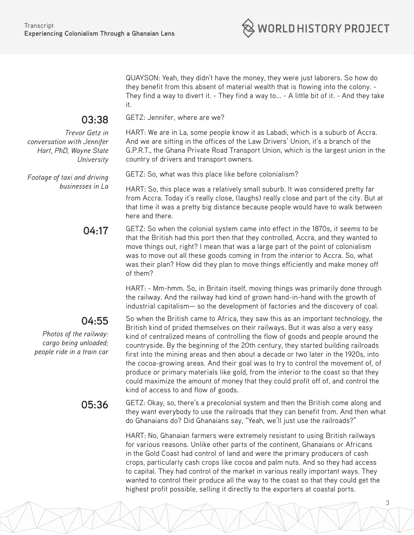

QUAYSON: Yeah, they didn't have the money, they were just laborers. So how do they benefit from this absent of material wealth that is flowing into the colony. - They find a way to divert it. - They find a way to... - A little bit of it. - And they take it.

#### **03:38**

*Trevor Getz in conversation with Jennifer Hart, PhD, Wayne State University*

*Footage of taxi and driving businesses in La* HART: We are in La, some people know it as Labadi, which is a suburb of Accra. And we are sitting in the offices of the Law Drivers' Union, it's a branch of the G.P.R.T., the Ghana Private Road Transport Union, which is the largest union in the country of drivers and transport owners.

GETZ: So, what was this place like before colonialism?

GETZ: Jennifer, where are we?

HART: So, this place was a relatively small suburb. It was considered pretty far from Accra. Today it's really close, (laughs) really close and part of the city. But at that time it was a pretty big distance because people would have to walk between here and there.

**04:17** GETZ: So when the colonial system came into effect in the 1870s, it seems to be that the British had this port then that they controlled, Accra, and they wanted to move things out, right? I mean that was a large part of the point of colonialism was to move out all these goods coming in from the interior to Accra. So, what was their plan? How did they plan to move things efficiently and make money off of them?

> HART: - Mm-hmm. So, in Britain itself, moving things was primarily done through the railway. And the railway had kind of grown hand-in-hand with the growth of industrial capitalism— so the development of factories and the discovery of coal.

#### **04:55**

*Photos of the railway: cargo being unloaded; people ride in a train car*

So when the British came to Africa, they saw this as an important technology, the British kind of prided themselves on their railways. But it was also a very easy kind of centralized means of controlling the flow of goods and people around the countryside. By the beginning of the 20th century, they started building railroads first into the mining areas and then about a decade or two later in the 1920s, into the cocoa-growing areas. And their goal was to try to control the movement of, of produce or primary materials like gold, from the interior to the coast so that they could maximize the amount of money that they could profit off of, and control the kind of access to and flow of goods.

**05:36** GETZ: Okay, so, there's a precolonial system and then the British come along and they want everybody to use the railroads that they can benefit from. And then what do Ghanaians do? Did Ghanaians say, "Yeah, we'll just use the railroads?"

> HART: No, Ghanaian farmers were extremely resistant to using British railways for various reasons. Unlike other parts of the continent, Ghanaians or Africans in the Gold Coast had control of land and were the primary producers of cash crops, particularly cash crops like cocoa and palm nuts. And so they had access to capital. They had control of the market in various really important ways. They wanted to control their produce all the way to the coast so that they could get the highest profit possible, selling it directly to the exporters at coastal ports.

3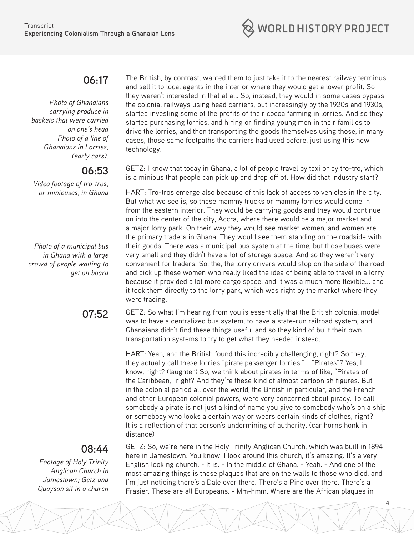

#### **06:17**

*Photo of Ghanaians carrying produce in baskets that were carried on one's head Photo of a line of Ghanaians in Lorries, (early cars).*

#### **06:53**

*Video footage of tro-tros, or minibuses, in Ghana*

*Photo of a municipal bus in Ghana with a large crowd of people waiting to get on board*

The British, by contrast, wanted them to just take it to the nearest railway terminus and sell it to local agents in the interior where they would get a lower profit. So they weren't interested in that at all. So, instead, they would in some cases bypass the colonial railways using head carriers, but increasingly by the 1920s and 1930s, started investing some of the profits of their cocoa farming in lorries. And so they started purchasing lorries, and hiring or finding young men in their families to drive the lorries, and then transporting the goods themselves using those, in many cases, those same footpaths the carriers had used before, just using this new technology.

GETZ: I know that today in Ghana, a lot of people travel by taxi or by tro-tro, which is a minibus that people can pick up and drop off of. How did that industry start?

HART: Tro-tros emerge also because of this lack of access to vehicles in the city. But what we see is, so these mammy trucks or mammy lorries would come in from the eastern interior. They would be carrying goods and they would continue on into the center of the city, Accra, where there would be a major market and a major lorry park. On their way they would see market women, and women are the primary traders in Ghana. They would see them standing on the roadside with their goods. There was a municipal bus system at the time, but those buses were very small and they didn't have a lot of storage space. And so they weren't very convenient for traders. So, the, the lorry drivers would stop on the side of the road and pick up these women who really liked the idea of being able to travel in a lorry because it provided a lot more cargo space, and it was a much more flexible... and it took them directly to the lorry park, which was right by the market where they were trading.

**07:52** GETZ: So what I'm hearing from you is essentially that the British colonial model was to have a centralized bus system, to have a state-run railroad system, and Ghanaians didn't find these things useful and so they kind of built their own transportation systems to try to get what they needed instead.

> HART: Yeah, and the British found this incredibly challenging, right? So they, they actually call these lorries "pirate passenger lorries." - "Pirates"? Yes, I know, right? (laughter) So, we think about pirates in terms of like, "Pirates of the Caribbean," right? And they're these kind of almost cartoonish figures. But in the colonial period all over the world, the British in particular, and the French and other European colonial powers, were very concerned about piracy. To call somebody a pirate is not just a kind of name you give to somebody who's on a ship or somebody who looks a certain way or wears certain kinds of clothes, right? It is a reflection of that person's undermining of authority. (car horns honk in distance)

#### **08:44**

*Footage of Holy Trinity Anglican Church in Jamestown; Getz and Quayson sit in a church* GETZ: So, we're here in the Holy Trinity Anglican Church, which was built in 1894 here in Jamestown. You know, I look around this church, it's amazing. It's a very English looking church. - It is. - In the middle of Ghana. - Yeah. - And one of the most amazing things is these plaques that are on the walls to those who died, and I'm just noticing there's a Dale over there. There's a Pine over there. There's a Frasier. These are all Europeans. - Mm-hmm. Where are the African plaques in